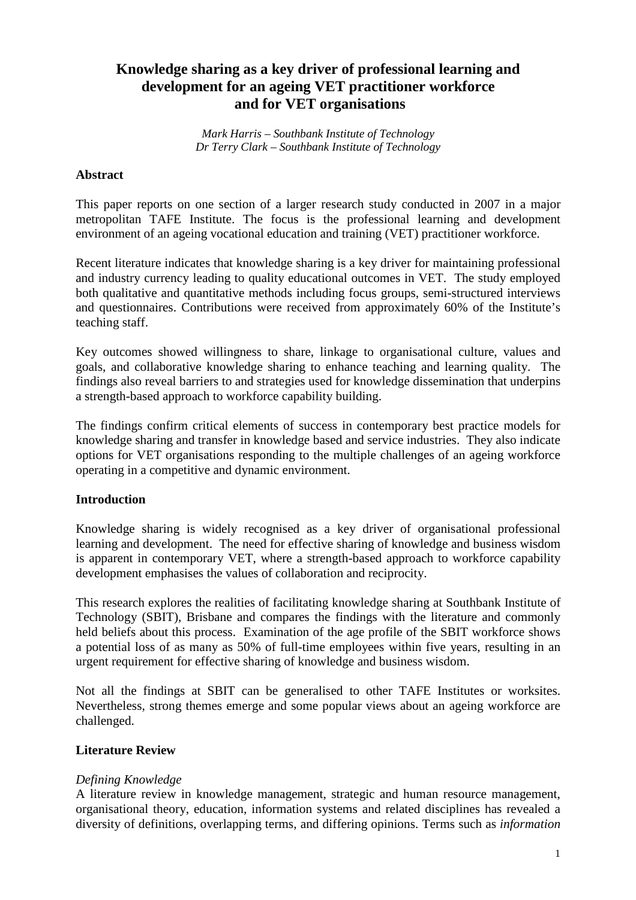# **Knowledge sharing as a key driver of professional learning and development for an ageing VET practitioner workforce and for VET organisations**

*Mark Harris – Southbank Institute of Technology Dr Terry Clark – Southbank Institute of Technology* 

#### **Abstract**

This paper reports on one section of a larger research study conducted in 2007 in a major metropolitan TAFE Institute. The focus is the professional learning and development environment of an ageing vocational education and training (VET) practitioner workforce.

Recent literature indicates that knowledge sharing is a key driver for maintaining professional and industry currency leading to quality educational outcomes in VET. The study employed both qualitative and quantitative methods including focus groups, semi-structured interviews and questionnaires. Contributions were received from approximately 60% of the Institute's teaching staff.

Key outcomes showed willingness to share, linkage to organisational culture, values and goals, and collaborative knowledge sharing to enhance teaching and learning quality. The findings also reveal barriers to and strategies used for knowledge dissemination that underpins a strength-based approach to workforce capability building.

The findings confirm critical elements of success in contemporary best practice models for knowledge sharing and transfer in knowledge based and service industries. They also indicate options for VET organisations responding to the multiple challenges of an ageing workforce operating in a competitive and dynamic environment.

## **Introduction**

Knowledge sharing is widely recognised as a key driver of organisational professional learning and development. The need for effective sharing of knowledge and business wisdom is apparent in contemporary VET, where a strength-based approach to workforce capability development emphasises the values of collaboration and reciprocity.

This research explores the realities of facilitating knowledge sharing at Southbank Institute of Technology (SBIT), Brisbane and compares the findings with the literature and commonly held beliefs about this process. Examination of the age profile of the SBIT workforce shows a potential loss of as many as 50% of full-time employees within five years, resulting in an urgent requirement for effective sharing of knowledge and business wisdom.

Not all the findings at SBIT can be generalised to other TAFE Institutes or worksites. Nevertheless, strong themes emerge and some popular views about an ageing workforce are challenged.

## **Literature Review**

#### *Defining Knowledge*

A literature review in knowledge management, strategic and human resource management, organisational theory, education, information systems and related disciplines has revealed a diversity of definitions, overlapping terms, and differing opinions. Terms such as *information*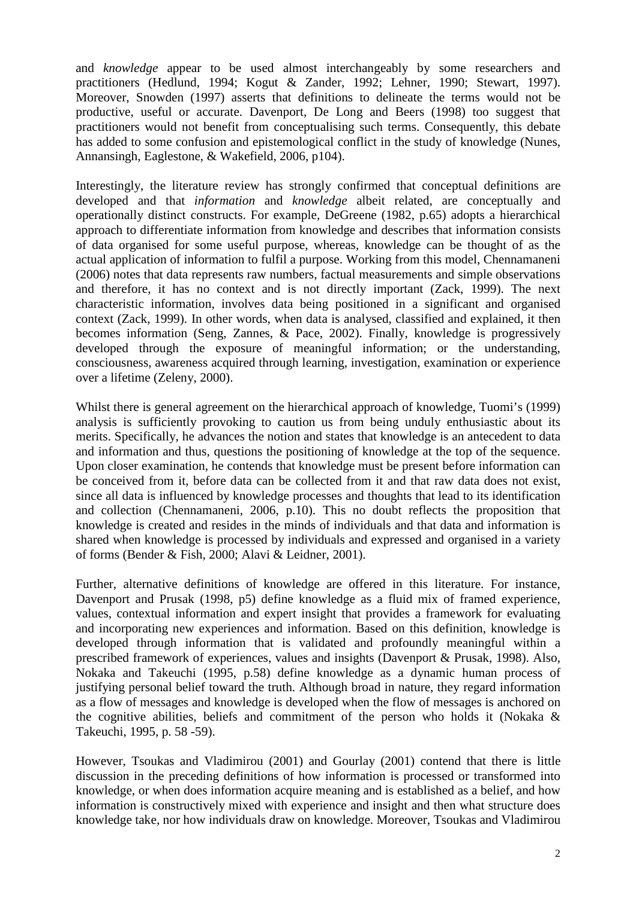and *knowledge* appear to be used almost interchangeably by some researchers and practitioners (Hedlund, 1994; Kogut & Zander, 1992; Lehner, 1990; Stewart, 1997). Moreover, Snowden (1997) asserts that definitions to delineate the terms would not be productive, useful or accurate. Davenport, De Long and Beers (1998) too suggest that practitioners would not benefit from conceptualising such terms. Consequently, this debate has added to some confusion and epistemological conflict in the study of knowledge (Nunes, Annansingh, Eaglestone, & Wakefield, 2006, p104).

Interestingly, the literature review has strongly confirmed that conceptual definitions are developed and that *information* and *knowledge* albeit related, are conceptually and operationally distinct constructs. For example, DeGreene (1982, p.65) adopts a hierarchical approach to differentiate information from knowledge and describes that information consists of data organised for some useful purpose, whereas, knowledge can be thought of as the actual application of information to fulfil a purpose. Working from this model, Chennamaneni (2006) notes that data represents raw numbers, factual measurements and simple observations and therefore, it has no context and is not directly important (Zack, 1999). The next characteristic information, involves data being positioned in a significant and organised context (Zack, 1999). In other words, when data is analysed, classified and explained, it then becomes information (Seng, Zannes, & Pace, 2002). Finally, knowledge is progressively developed through the exposure of meaningful information; or the understanding, consciousness, awareness acquired through learning, investigation, examination or experience over a lifetime (Zeleny, 2000).

Whilst there is general agreement on the hierarchical approach of knowledge, Tuomi's (1999) analysis is sufficiently provoking to caution us from being unduly enthusiastic about its merits. Specifically, he advances the notion and states that knowledge is an antecedent to data and information and thus, questions the positioning of knowledge at the top of the sequence. Upon closer examination, he contends that knowledge must be present before information can be conceived from it, before data can be collected from it and that raw data does not exist, since all data is influenced by knowledge processes and thoughts that lead to its identification and collection (Chennamaneni, 2006, p.10). This no doubt reflects the proposition that knowledge is created and resides in the minds of individuals and that data and information is shared when knowledge is processed by individuals and expressed and organised in a variety of forms (Bender & Fish, 2000; Alavi & Leidner, 2001).

Further, alternative definitions of knowledge are offered in this literature. For instance, Davenport and Prusak (1998, p5) define knowledge as a fluid mix of framed experience, values, contextual information and expert insight that provides a framework for evaluating and incorporating new experiences and information. Based on this definition, knowledge is developed through information that is validated and profoundly meaningful within a prescribed framework of experiences, values and insights (Davenport & Prusak, 1998). Also, Nokaka and Takeuchi (1995, p.58) define knowledge as a dynamic human process of justifying personal belief toward the truth. Although broad in nature, they regard information as a flow of messages and knowledge is developed when the flow of messages is anchored on the cognitive abilities, beliefs and commitment of the person who holds it (Nokaka & Takeuchi, 1995, p. 58 -59).

However, Tsoukas and Vladimirou (2001) and Gourlay (2001) contend that there is little discussion in the preceding definitions of how information is processed or transformed into knowledge, or when does information acquire meaning and is established as a belief, and how information is constructively mixed with experience and insight and then what structure does knowledge take, nor how individuals draw on knowledge. Moreover, Tsoukas and Vladimirou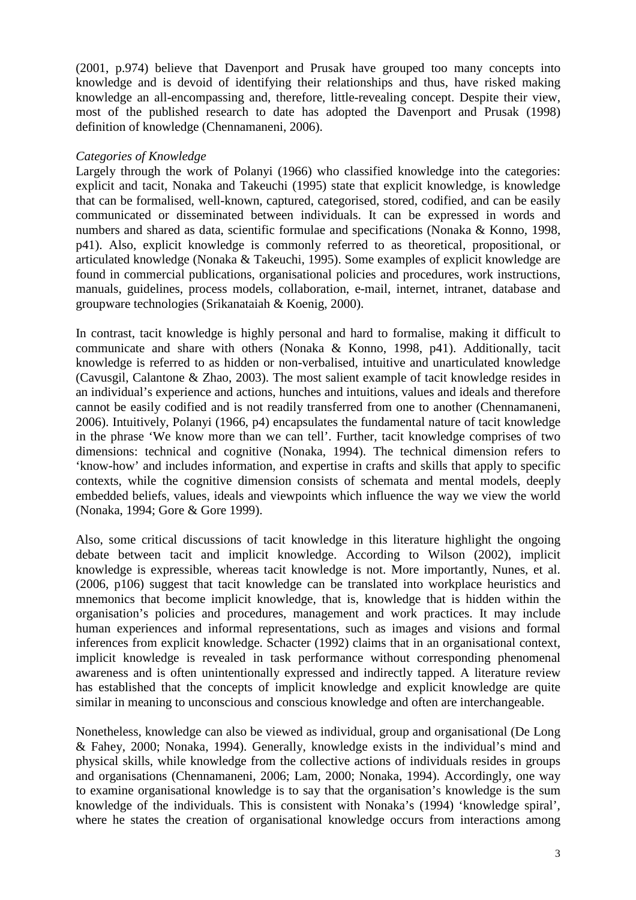(2001, p.974) believe that Davenport and Prusak have grouped too many concepts into knowledge and is devoid of identifying their relationships and thus, have risked making knowledge an all-encompassing and, therefore, little-revealing concept. Despite their view, most of the published research to date has adopted the Davenport and Prusak (1998) definition of knowledge (Chennamaneni, 2006).

#### *Categories of Knowledge*

Largely through the work of Polanyi (1966) who classified knowledge into the categories: explicit and tacit, Nonaka and Takeuchi (1995) state that explicit knowledge, is knowledge that can be formalised, well-known, captured, categorised, stored, codified, and can be easily communicated or disseminated between individuals. It can be expressed in words and numbers and shared as data, scientific formulae and specifications (Nonaka & Konno, 1998, p41). Also, explicit knowledge is commonly referred to as theoretical, propositional, or articulated knowledge (Nonaka & Takeuchi, 1995). Some examples of explicit knowledge are found in commercial publications, organisational policies and procedures, work instructions, manuals, guidelines, process models, collaboration, e-mail, internet, intranet, database and groupware technologies (Srikanataiah & Koenig, 2000).

In contrast, tacit knowledge is highly personal and hard to formalise, making it difficult to communicate and share with others (Nonaka & Konno, 1998, p41). Additionally, tacit knowledge is referred to as hidden or non-verbalised, intuitive and unarticulated knowledge (Cavusgil, Calantone & Zhao, 2003). The most salient example of tacit knowledge resides in an individual's experience and actions, hunches and intuitions, values and ideals and therefore cannot be easily codified and is not readily transferred from one to another (Chennamaneni, 2006). Intuitively, Polanyi (1966, p4) encapsulates the fundamental nature of tacit knowledge in the phrase 'We know more than we can tell'. Further, tacit knowledge comprises of two dimensions: technical and cognitive (Nonaka, 1994). The technical dimension refers to 'know-how' and includes information, and expertise in crafts and skills that apply to specific contexts, while the cognitive dimension consists of schemata and mental models, deeply embedded beliefs, values, ideals and viewpoints which influence the way we view the world (Nonaka, 1994; Gore & Gore 1999).

Also, some critical discussions of tacit knowledge in this literature highlight the ongoing debate between tacit and implicit knowledge. According to Wilson (2002), implicit knowledge is expressible, whereas tacit knowledge is not. More importantly, Nunes, et al. (2006, p106) suggest that tacit knowledge can be translated into workplace heuristics and mnemonics that become implicit knowledge, that is, knowledge that is hidden within the organisation's policies and procedures, management and work practices. It may include human experiences and informal representations, such as images and visions and formal inferences from explicit knowledge. Schacter (1992) claims that in an organisational context, implicit knowledge is revealed in task performance without corresponding phenomenal awareness and is often unintentionally expressed and indirectly tapped. A literature review has established that the concepts of implicit knowledge and explicit knowledge are quite similar in meaning to unconscious and conscious knowledge and often are interchangeable.

Nonetheless, knowledge can also be viewed as individual, group and organisational (De Long & Fahey, 2000; Nonaka, 1994). Generally, knowledge exists in the individual's mind and physical skills, while knowledge from the collective actions of individuals resides in groups and organisations (Chennamaneni, 2006; Lam, 2000; Nonaka, 1994). Accordingly, one way to examine organisational knowledge is to say that the organisation's knowledge is the sum knowledge of the individuals. This is consistent with Nonaka's (1994) 'knowledge spiral', where he states the creation of organisational knowledge occurs from interactions among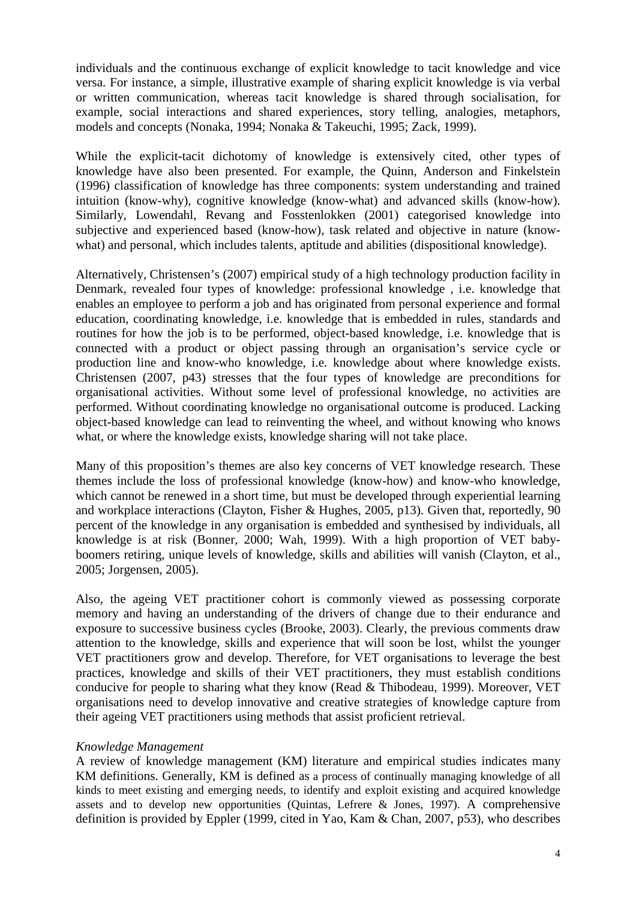individuals and the continuous exchange of explicit knowledge to tacit knowledge and vice versa. For instance, a simple, illustrative example of sharing explicit knowledge is via verbal or written communication, whereas tacit knowledge is shared through socialisation, for example, social interactions and shared experiences, story telling, analogies, metaphors, models and concepts (Nonaka, 1994; Nonaka & Takeuchi, 1995; Zack, 1999).

While the explicit-tacit dichotomy of knowledge is extensively cited, other types of knowledge have also been presented. For example, the Quinn, Anderson and Finkelstein (1996) classification of knowledge has three components: system understanding and trained intuition (know-why), cognitive knowledge (know-what) and advanced skills (know-how). Similarly, Lowendahl, Revang and Fosstenlokken (2001) categorised knowledge into subjective and experienced based (know-how), task related and objective in nature (knowwhat) and personal, which includes talents, aptitude and abilities (dispositional knowledge).

Alternatively, Christensen's (2007) empirical study of a high technology production facility in Denmark, revealed four types of knowledge: professional knowledge , i.e. knowledge that enables an employee to perform a job and has originated from personal experience and formal education, coordinating knowledge, i.e. knowledge that is embedded in rules, standards and routines for how the job is to be performed, object-based knowledge, i.e. knowledge that is connected with a product or object passing through an organisation's service cycle or production line and know-who knowledge, i.e. knowledge about where knowledge exists. Christensen (2007, p43) stresses that the four types of knowledge are preconditions for organisational activities. Without some level of professional knowledge, no activities are performed. Without coordinating knowledge no organisational outcome is produced. Lacking object-based knowledge can lead to reinventing the wheel, and without knowing who knows what, or where the knowledge exists, knowledge sharing will not take place.

Many of this proposition's themes are also key concerns of VET knowledge research. These themes include the loss of professional knowledge (know-how) and know-who knowledge, which cannot be renewed in a short time, but must be developed through experiential learning and workplace interactions (Clayton, Fisher & Hughes, 2005, p13). Given that, reportedly, 90 percent of the knowledge in any organisation is embedded and synthesised by individuals, all knowledge is at risk (Bonner, 2000; Wah, 1999). With a high proportion of VET babyboomers retiring, unique levels of knowledge, skills and abilities will vanish (Clayton, et al., 2005; Jorgensen, 2005).

Also, the ageing VET practitioner cohort is commonly viewed as possessing corporate memory and having an understanding of the drivers of change due to their endurance and exposure to successive business cycles (Brooke, 2003). Clearly, the previous comments draw attention to the knowledge, skills and experience that will soon be lost, whilst the younger VET practitioners grow and develop. Therefore, for VET organisations to leverage the best practices, knowledge and skills of their VET practitioners, they must establish conditions conducive for people to sharing what they know (Read & Thibodeau, 1999). Moreover, VET organisations need to develop innovative and creative strategies of knowledge capture from their ageing VET practitioners using methods that assist proficient retrieval.

## *Knowledge Management*

A review of knowledge management (KM) literature and empirical studies indicates many KM definitions. Generally, KM is defined as a process of continually managing knowledge of all kinds to meet existing and emerging needs, to identify and exploit existing and acquired knowledge assets and to develop new opportunities (Quintas, Lefrere & Jones, 1997). A comprehensive definition is provided by Eppler (1999, cited in Yao, Kam & Chan, 2007, p53), who describes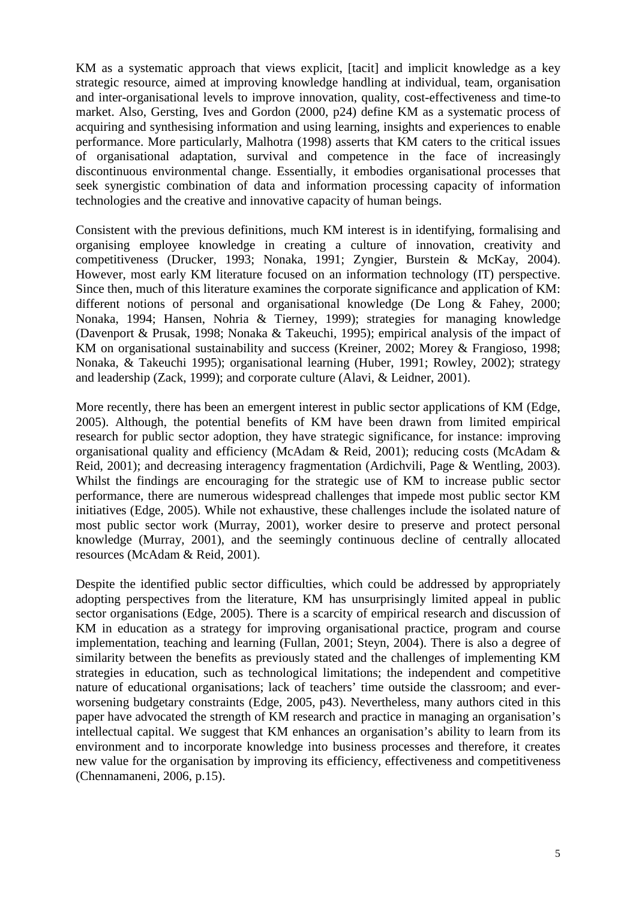KM as a systematic approach that views explicit, [tacit] and implicit knowledge as a key strategic resource, aimed at improving knowledge handling at individual, team, organisation and inter-organisational levels to improve innovation, quality, cost-effectiveness and time-to market. Also, Gersting, Ives and Gordon (2000, p24) define KM as a systematic process of acquiring and synthesising information and using learning, insights and experiences to enable performance. More particularly, Malhotra (1998) asserts that KM caters to the critical issues of organisational adaptation, survival and competence in the face of increasingly discontinuous environmental change. Essentially, it embodies organisational processes that seek synergistic combination of data and information processing capacity of information technologies and the creative and innovative capacity of human beings.

Consistent with the previous definitions, much KM interest is in identifying, formalising and organising employee knowledge in creating a culture of innovation, creativity and competitiveness (Drucker, 1993; Nonaka, 1991; Zyngier, Burstein & McKay, 2004). However, most early KM literature focused on an information technology (IT) perspective. Since then, much of this literature examines the corporate significance and application of KM: different notions of personal and organisational knowledge (De Long & Fahey, 2000; Nonaka, 1994; Hansen, Nohria & Tierney, 1999); strategies for managing knowledge (Davenport & Prusak, 1998; Nonaka & Takeuchi, 1995); empirical analysis of the impact of KM on organisational sustainability and success (Kreiner, 2002; Morey & Frangioso, 1998; Nonaka, & Takeuchi 1995); organisational learning (Huber, 1991; Rowley, 2002); strategy and leadership (Zack, 1999); and corporate culture (Alavi, & Leidner, 2001).

More recently, there has been an emergent interest in public sector applications of KM (Edge, 2005). Although, the potential benefits of KM have been drawn from limited empirical research for public sector adoption, they have strategic significance, for instance: improving organisational quality and efficiency (McAdam & Reid, 2001); reducing costs (McAdam & Reid, 2001); and decreasing interagency fragmentation (Ardichvili, Page & Wentling, 2003). Whilst the findings are encouraging for the strategic use of KM to increase public sector performance, there are numerous widespread challenges that impede most public sector KM initiatives (Edge, 2005). While not exhaustive, these challenges include the isolated nature of most public sector work (Murray, 2001), worker desire to preserve and protect personal knowledge (Murray, 2001), and the seemingly continuous decline of centrally allocated resources (McAdam & Reid, 2001).

Despite the identified public sector difficulties, which could be addressed by appropriately adopting perspectives from the literature, KM has unsurprisingly limited appeal in public sector organisations (Edge, 2005). There is a scarcity of empirical research and discussion of KM in education as a strategy for improving organisational practice, program and course implementation, teaching and learning (Fullan, 2001; Steyn, 2004). There is also a degree of similarity between the benefits as previously stated and the challenges of implementing KM strategies in education, such as technological limitations; the independent and competitive nature of educational organisations; lack of teachers' time outside the classroom; and everworsening budgetary constraints (Edge, 2005, p43). Nevertheless, many authors cited in this paper have advocated the strength of KM research and practice in managing an organisation's intellectual capital. We suggest that KM enhances an organisation's ability to learn from its environment and to incorporate knowledge into business processes and therefore, it creates new value for the organisation by improving its efficiency, effectiveness and competitiveness (Chennamaneni, 2006, p.15).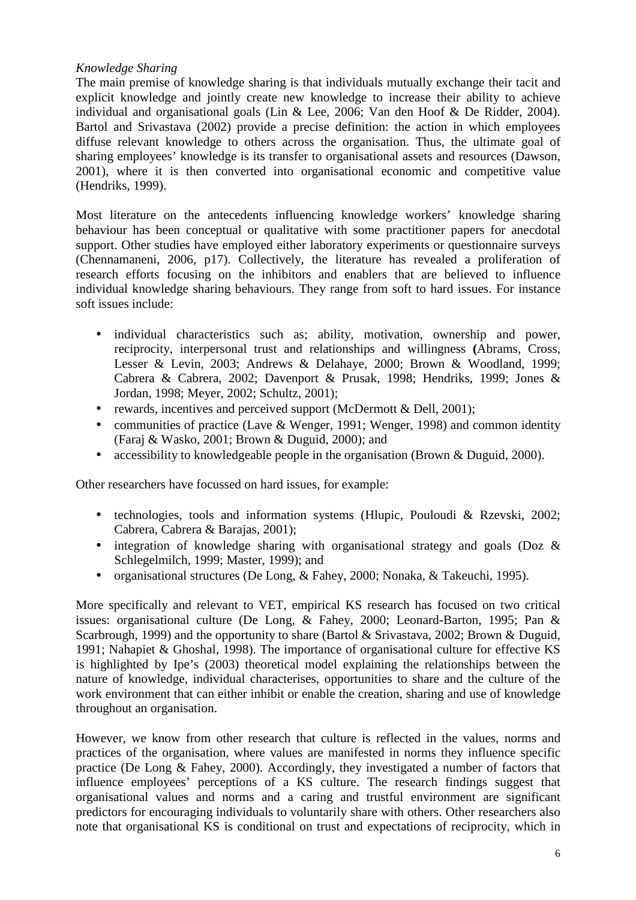### *Knowledge Sharing*

The main premise of knowledge sharing is that individuals mutually exchange their tacit and explicit knowledge and jointly create new knowledge to increase their ability to achieve individual and organisational goals (Lin & Lee, 2006; Van den Hoof & De Ridder, 2004). Bartol and Srivastava (2002) provide a precise definition: the action in which employees diffuse relevant knowledge to others across the organisation. Thus, the ultimate goal of sharing employees' knowledge is its transfer to organisational assets and resources (Dawson, 2001), where it is then converted into organisational economic and competitive value (Hendriks, 1999).

Most literature on the antecedents influencing knowledge workers' knowledge sharing behaviour has been conceptual or qualitative with some practitioner papers for anecdotal support. Other studies have employed either laboratory experiments or questionnaire surveys (Chennamaneni, 2006, p17). Collectively, the literature has revealed a proliferation of research efforts focusing on the inhibitors and enablers that are believed to influence individual knowledge sharing behaviours. They range from soft to hard issues. For instance soft issues include:

- individual characteristics such as; ability, motivation, ownership and power, reciprocity, interpersonal trust and relationships and willingness **(**Abrams, Cross, Lesser & Levin, 2003; Andrews & Delahaye, 2000; Brown & Woodland, 1999; Cabrera & Cabrera, 2002; Davenport & Prusak, 1998; Hendriks, 1999; Jones & Jordan, 1998; Meyer, 2002; Schultz, 2001);
- rewards, incentives and perceived support (McDermott & Dell, 2001);
- communities of practice (Lave & Wenger, 1991; Wenger, 1998) and common identity (Faraj & Wasko, 2001; Brown & Duguid, 2000); and
- accessibility to knowledgeable people in the organisation (Brown & Duguid, 2000).

Other researchers have focussed on hard issues, for example:

- technologies, tools and information systems (Hlupic, Pouloudi & Rzevski, 2002; Cabrera, Cabrera & Barajas, 2001);
- integration of knowledge sharing with organisational strategy and goals (Doz & Schlegelmilch, 1999; Master, 1999); and
- organisational structures (De Long, & Fahey, 2000; Nonaka, & Takeuchi, 1995).

More specifically and relevant to VET, empirical KS research has focused on two critical issues: organisational culture (De Long, & Fahey, 2000; Leonard-Barton, 1995; Pan & Scarbrough, 1999) and the opportunity to share (Bartol & Srivastava, 2002; Brown & Duguid, 1991; Nahapiet & Ghoshal, 1998). The importance of organisational culture for effective KS is highlighted by Ipe's (2003) theoretical model explaining the relationships between the nature of knowledge, individual characterises, opportunities to share and the culture of the work environment that can either inhibit or enable the creation, sharing and use of knowledge throughout an organisation.

However, we know from other research that culture is reflected in the values, norms and practices of the organisation, where values are manifested in norms they influence specific practice (De Long & Fahey, 2000). Accordingly, they investigated a number of factors that influence employees' perceptions of a KS culture. The research findings suggest that organisational values and norms and a caring and trustful environment are significant predictors for encouraging individuals to voluntarily share with others. Other researchers also note that organisational KS is conditional on trust and expectations of reciprocity, which in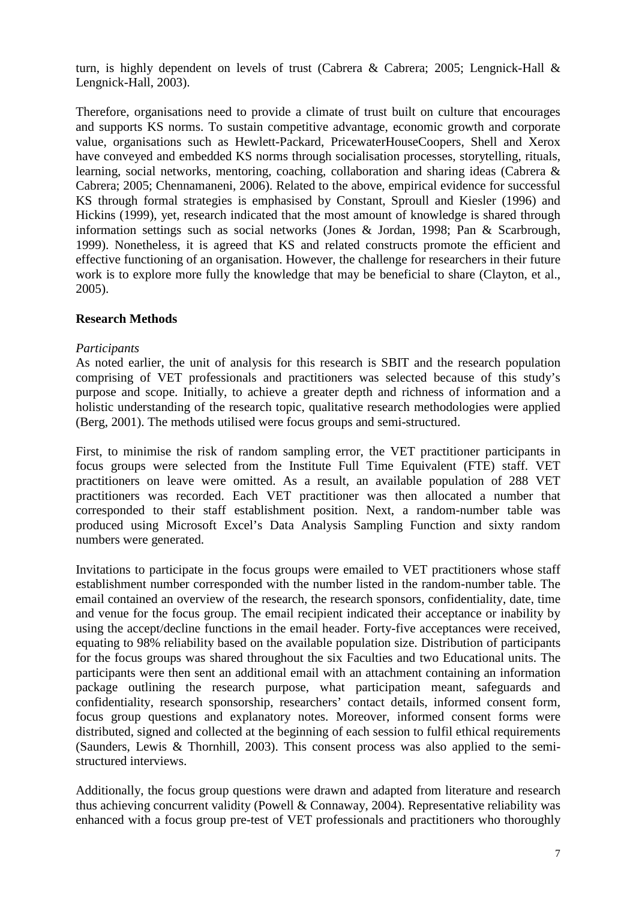turn, is highly dependent on levels of trust (Cabrera & Cabrera; 2005; Lengnick-Hall & Lengnick-Hall, 2003).

Therefore, organisations need to provide a climate of trust built on culture that encourages and supports KS norms. To sustain competitive advantage, economic growth and corporate value, organisations such as Hewlett-Packard, PricewaterHouseCoopers, Shell and Xerox have conveyed and embedded KS norms through socialisation processes, storytelling, rituals, learning, social networks, mentoring, coaching, collaboration and sharing ideas (Cabrera & Cabrera; 2005; Chennamaneni, 2006). Related to the above, empirical evidence for successful KS through formal strategies is emphasised by Constant, Sproull and Kiesler (1996) and Hickins (1999), yet, research indicated that the most amount of knowledge is shared through information settings such as social networks (Jones & Jordan, 1998; Pan & Scarbrough, 1999). Nonetheless, it is agreed that KS and related constructs promote the efficient and effective functioning of an organisation. However, the challenge for researchers in their future work is to explore more fully the knowledge that may be beneficial to share (Clayton, et al., 2005).

## **Research Methods**

#### *Participants*

As noted earlier, the unit of analysis for this research is SBIT and the research population comprising of VET professionals and practitioners was selected because of this study's purpose and scope. Initially, to achieve a greater depth and richness of information and a holistic understanding of the research topic, qualitative research methodologies were applied (Berg, 2001). The methods utilised were focus groups and semi-structured.

First, to minimise the risk of random sampling error, the VET practitioner participants in focus groups were selected from the Institute Full Time Equivalent (FTE) staff. VET practitioners on leave were omitted. As a result, an available population of 288 VET practitioners was recorded. Each VET practitioner was then allocated a number that corresponded to their staff establishment position. Next, a random-number table was produced using Microsoft Excel's Data Analysis Sampling Function and sixty random numbers were generated.

Invitations to participate in the focus groups were emailed to VET practitioners whose staff establishment number corresponded with the number listed in the random-number table. The email contained an overview of the research, the research sponsors, confidentiality, date, time and venue for the focus group. The email recipient indicated their acceptance or inability by using the accept/decline functions in the email header. Forty-five acceptances were received, equating to 98% reliability based on the available population size. Distribution of participants for the focus groups was shared throughout the six Faculties and two Educational units. The participants were then sent an additional email with an attachment containing an information package outlining the research purpose, what participation meant, safeguards and confidentiality, research sponsorship, researchers' contact details, informed consent form, focus group questions and explanatory notes. Moreover, informed consent forms were distributed, signed and collected at the beginning of each session to fulfil ethical requirements (Saunders, Lewis & Thornhill, 2003). This consent process was also applied to the semistructured interviews.

Additionally, the focus group questions were drawn and adapted from literature and research thus achieving concurrent validity (Powell & Connaway, 2004). Representative reliability was enhanced with a focus group pre-test of VET professionals and practitioners who thoroughly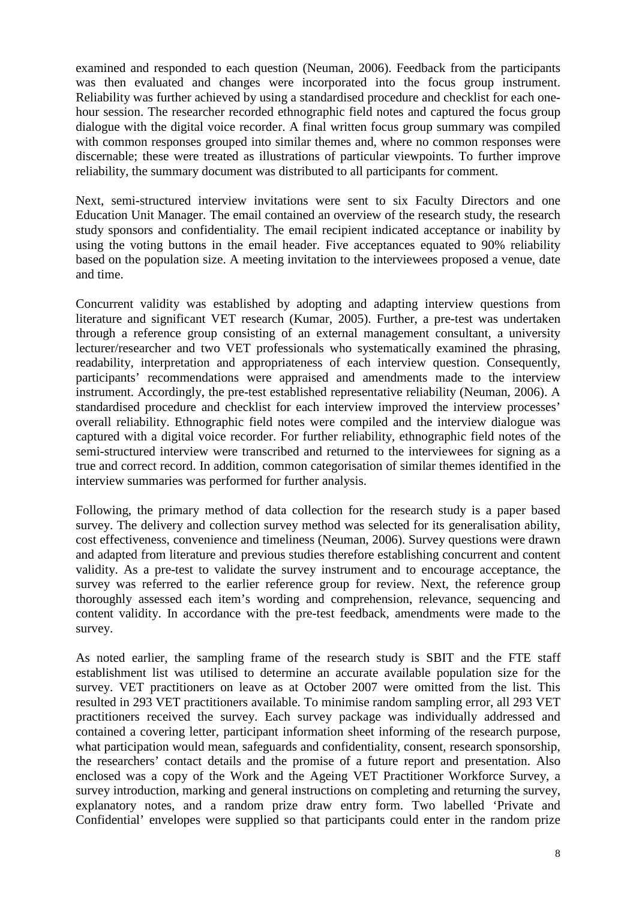examined and responded to each question (Neuman, 2006). Feedback from the participants was then evaluated and changes were incorporated into the focus group instrument. Reliability was further achieved by using a standardised procedure and checklist for each onehour session. The researcher recorded ethnographic field notes and captured the focus group dialogue with the digital voice recorder. A final written focus group summary was compiled with common responses grouped into similar themes and, where no common responses were discernable; these were treated as illustrations of particular viewpoints. To further improve reliability, the summary document was distributed to all participants for comment.

Next, semi-structured interview invitations were sent to six Faculty Directors and one Education Unit Manager. The email contained an overview of the research study, the research study sponsors and confidentiality. The email recipient indicated acceptance or inability by using the voting buttons in the email header. Five acceptances equated to 90% reliability based on the population size. A meeting invitation to the interviewees proposed a venue, date and time.

Concurrent validity was established by adopting and adapting interview questions from literature and significant VET research (Kumar, 2005). Further, a pre-test was undertaken through a reference group consisting of an external management consultant, a university lecturer/researcher and two VET professionals who systematically examined the phrasing, readability, interpretation and appropriateness of each interview question. Consequently, participants' recommendations were appraised and amendments made to the interview instrument. Accordingly, the pre-test established representative reliability (Neuman, 2006). A standardised procedure and checklist for each interview improved the interview processes' overall reliability. Ethnographic field notes were compiled and the interview dialogue was captured with a digital voice recorder. For further reliability, ethnographic field notes of the semi-structured interview were transcribed and returned to the interviewees for signing as a true and correct record. In addition, common categorisation of similar themes identified in the interview summaries was performed for further analysis.

Following, the primary method of data collection for the research study is a paper based survey. The delivery and collection survey method was selected for its generalisation ability, cost effectiveness, convenience and timeliness (Neuman, 2006). Survey questions were drawn and adapted from literature and previous studies therefore establishing concurrent and content validity. As a pre-test to validate the survey instrument and to encourage acceptance, the survey was referred to the earlier reference group for review. Next, the reference group thoroughly assessed each item's wording and comprehension, relevance, sequencing and content validity. In accordance with the pre-test feedback, amendments were made to the survey.

As noted earlier, the sampling frame of the research study is SBIT and the FTE staff establishment list was utilised to determine an accurate available population size for the survey. VET practitioners on leave as at October 2007 were omitted from the list. This resulted in 293 VET practitioners available. To minimise random sampling error, all 293 VET practitioners received the survey. Each survey package was individually addressed and contained a covering letter, participant information sheet informing of the research purpose, what participation would mean, safeguards and confidentiality, consent, research sponsorship, the researchers' contact details and the promise of a future report and presentation. Also enclosed was a copy of the Work and the Ageing VET Practitioner Workforce Survey, a survey introduction, marking and general instructions on completing and returning the survey, explanatory notes, and a random prize draw entry form. Two labelled 'Private and Confidential' envelopes were supplied so that participants could enter in the random prize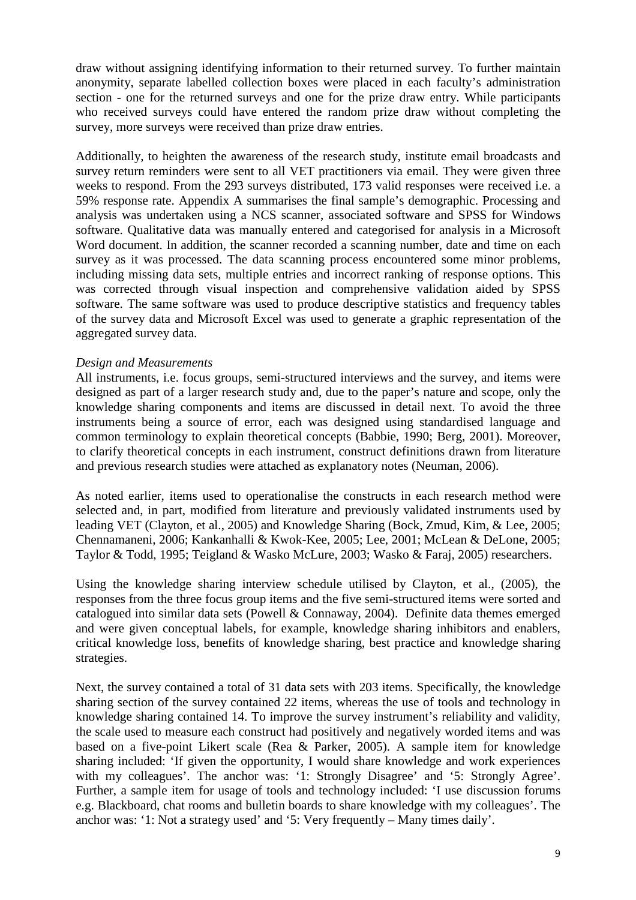draw without assigning identifying information to their returned survey. To further maintain anonymity, separate labelled collection boxes were placed in each faculty's administration section - one for the returned surveys and one for the prize draw entry. While participants who received surveys could have entered the random prize draw without completing the survey, more surveys were received than prize draw entries.

Additionally, to heighten the awareness of the research study, institute email broadcasts and survey return reminders were sent to all VET practitioners via email. They were given three weeks to respond. From the 293 surveys distributed, 173 valid responses were received i.e. a 59% response rate. Appendix A summarises the final sample's demographic. Processing and analysis was undertaken using a NCS scanner, associated software and SPSS for Windows software. Qualitative data was manually entered and categorised for analysis in a Microsoft Word document. In addition, the scanner recorded a scanning number, date and time on each survey as it was processed. The data scanning process encountered some minor problems, including missing data sets, multiple entries and incorrect ranking of response options. This was corrected through visual inspection and comprehensive validation aided by SPSS software. The same software was used to produce descriptive statistics and frequency tables of the survey data and Microsoft Excel was used to generate a graphic representation of the aggregated survey data.

#### *Design and Measurements*

All instruments, i.e. focus groups, semi-structured interviews and the survey, and items were designed as part of a larger research study and, due to the paper's nature and scope, only the knowledge sharing components and items are discussed in detail next. To avoid the three instruments being a source of error, each was designed using standardised language and common terminology to explain theoretical concepts (Babbie, 1990; Berg, 2001). Moreover, to clarify theoretical concepts in each instrument, construct definitions drawn from literature and previous research studies were attached as explanatory notes (Neuman, 2006).

As noted earlier, items used to operationalise the constructs in each research method were selected and, in part, modified from literature and previously validated instruments used by leading VET (Clayton, et al., 2005) and Knowledge Sharing (Bock, Zmud, Kim, & Lee, 2005; Chennamaneni, 2006; Kankanhalli & Kwok-Kee, 2005; Lee, 2001; McLean & DeLone, 2005; Taylor & Todd, 1995; Teigland & Wasko McLure, 2003; Wasko & Faraj, 2005) researchers.

Using the knowledge sharing interview schedule utilised by Clayton, et al., (2005), the responses from the three focus group items and the five semi-structured items were sorted and catalogued into similar data sets (Powell & Connaway, 2004). Definite data themes emerged and were given conceptual labels, for example, knowledge sharing inhibitors and enablers, critical knowledge loss, benefits of knowledge sharing, best practice and knowledge sharing strategies.

Next, the survey contained a total of 31 data sets with 203 items. Specifically, the knowledge sharing section of the survey contained 22 items, whereas the use of tools and technology in knowledge sharing contained 14. To improve the survey instrument's reliability and validity, the scale used to measure each construct had positively and negatively worded items and was based on a five-point Likert scale (Rea & Parker, 2005). A sample item for knowledge sharing included: 'If given the opportunity, I would share knowledge and work experiences with my colleagues'. The anchor was: '1: Strongly Disagree' and '5: Strongly Agree'. Further, a sample item for usage of tools and technology included: 'I use discussion forums e.g. Blackboard, chat rooms and bulletin boards to share knowledge with my colleagues'. The anchor was: '1: Not a strategy used' and '5: Very frequently – Many times daily'.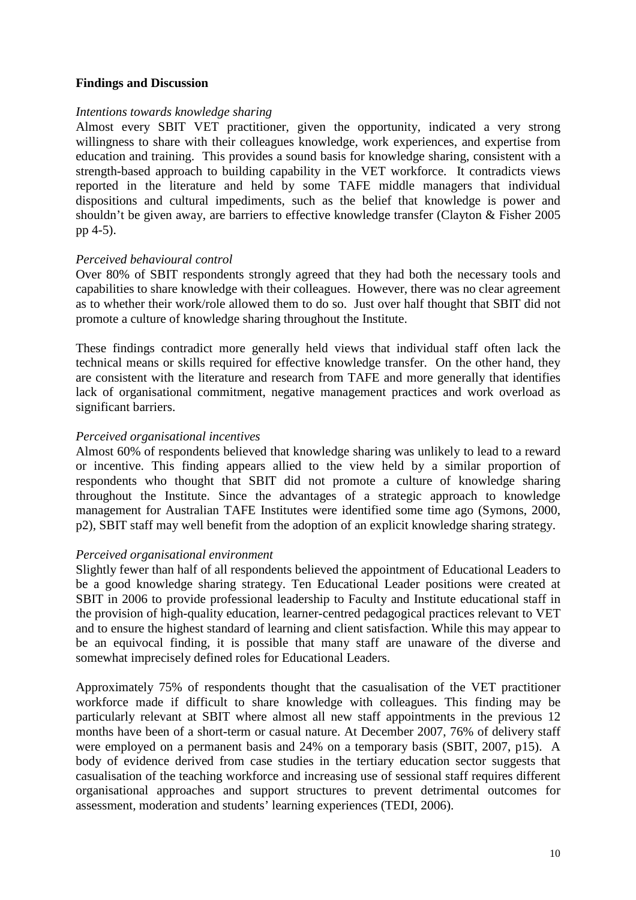### **Findings and Discussion**

#### *Intentions towards knowledge sharing*

Almost every SBIT VET practitioner, given the opportunity, indicated a very strong willingness to share with their colleagues knowledge, work experiences, and expertise from education and training. This provides a sound basis for knowledge sharing, consistent with a strength-based approach to building capability in the VET workforce. It contradicts views reported in the literature and held by some TAFE middle managers that individual dispositions and cultural impediments, such as the belief that knowledge is power and shouldn't be given away, are barriers to effective knowledge transfer (Clayton & Fisher 2005 pp 4-5).

### *Perceived behavioural control*

Over 80% of SBIT respondents strongly agreed that they had both the necessary tools and capabilities to share knowledge with their colleagues. However, there was no clear agreement as to whether their work/role allowed them to do so. Just over half thought that SBIT did not promote a culture of knowledge sharing throughout the Institute.

These findings contradict more generally held views that individual staff often lack the technical means or skills required for effective knowledge transfer. On the other hand, they are consistent with the literature and research from TAFE and more generally that identifies lack of organisational commitment, negative management practices and work overload as significant barriers.

#### *Perceived organisational incentives*

Almost 60% of respondents believed that knowledge sharing was unlikely to lead to a reward or incentive. This finding appears allied to the view held by a similar proportion of respondents who thought that SBIT did not promote a culture of knowledge sharing throughout the Institute. Since the advantages of a strategic approach to knowledge management for Australian TAFE Institutes were identified some time ago (Symons, 2000, p2), SBIT staff may well benefit from the adoption of an explicit knowledge sharing strategy.

#### *Perceived organisational environment*

Slightly fewer than half of all respondents believed the appointment of Educational Leaders to be a good knowledge sharing strategy. Ten Educational Leader positions were created at SBIT in 2006 to provide professional leadership to Faculty and Institute educational staff in the provision of high-quality education, learner-centred pedagogical practices relevant to VET and to ensure the highest standard of learning and client satisfaction. While this may appear to be an equivocal finding, it is possible that many staff are unaware of the diverse and somewhat imprecisely defined roles for Educational Leaders.

Approximately 75% of respondents thought that the casualisation of the VET practitioner workforce made if difficult to share knowledge with colleagues. This finding may be particularly relevant at SBIT where almost all new staff appointments in the previous 12 months have been of a short-term or casual nature. At December 2007, 76% of delivery staff were employed on a permanent basis and 24% on a temporary basis (SBIT, 2007, p15). A body of evidence derived from case studies in the tertiary education sector suggests that casualisation of the teaching workforce and increasing use of sessional staff requires different organisational approaches and support structures to prevent detrimental outcomes for assessment, moderation and students' learning experiences (TEDI, 2006).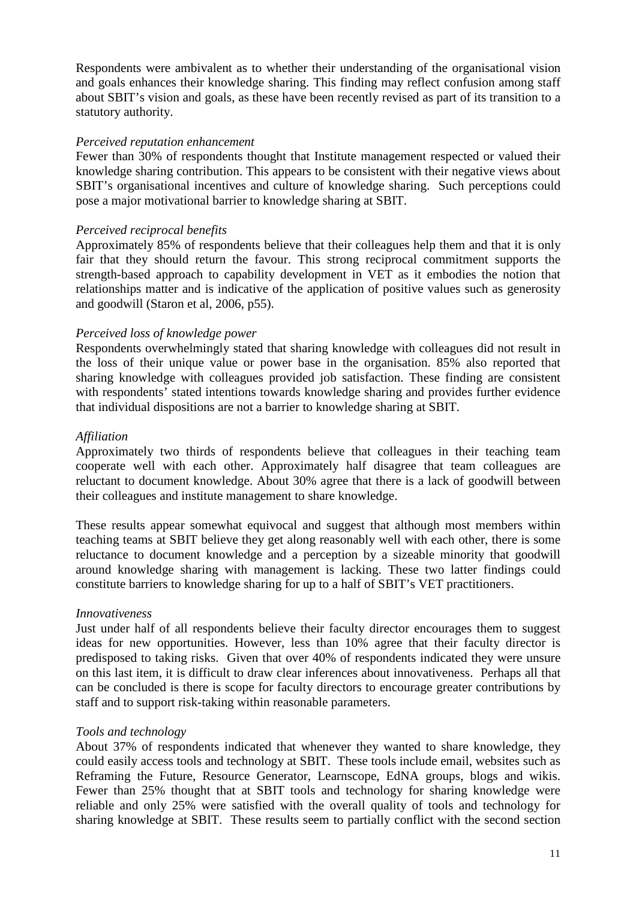Respondents were ambivalent as to whether their understanding of the organisational vision and goals enhances their knowledge sharing. This finding may reflect confusion among staff about SBIT's vision and goals, as these have been recently revised as part of its transition to a statutory authority.

#### *Perceived reputation enhancement*

Fewer than 30% of respondents thought that Institute management respected or valued their knowledge sharing contribution. This appears to be consistent with their negative views about SBIT's organisational incentives and culture of knowledge sharing. Such perceptions could pose a major motivational barrier to knowledge sharing at SBIT.

### *Perceived reciprocal benefits*

Approximately 85% of respondents believe that their colleagues help them and that it is only fair that they should return the favour. This strong reciprocal commitment supports the strength-based approach to capability development in VET as it embodies the notion that relationships matter and is indicative of the application of positive values such as generosity and goodwill (Staron et al, 2006, p55).

### *Perceived loss of knowledge power*

Respondents overwhelmingly stated that sharing knowledge with colleagues did not result in the loss of their unique value or power base in the organisation. 85% also reported that sharing knowledge with colleagues provided job satisfaction. These finding are consistent with respondents<sup>3</sup> stated intentions towards knowledge sharing and provides further evidence that individual dispositions are not a barrier to knowledge sharing at SBIT.

### *Affiliation*

Approximately two thirds of respondents believe that colleagues in their teaching team cooperate well with each other. Approximately half disagree that team colleagues are reluctant to document knowledge. About 30% agree that there is a lack of goodwill between their colleagues and institute management to share knowledge.

These results appear somewhat equivocal and suggest that although most members within teaching teams at SBIT believe they get along reasonably well with each other, there is some reluctance to document knowledge and a perception by a sizeable minority that goodwill around knowledge sharing with management is lacking. These two latter findings could constitute barriers to knowledge sharing for up to a half of SBIT's VET practitioners.

#### *Innovativeness*

Just under half of all respondents believe their faculty director encourages them to suggest ideas for new opportunities. However, less than 10% agree that their faculty director is predisposed to taking risks. Given that over 40% of respondents indicated they were unsure on this last item, it is difficult to draw clear inferences about innovativeness. Perhaps all that can be concluded is there is scope for faculty directors to encourage greater contributions by staff and to support risk-taking within reasonable parameters.

## *Tools and technology*

About 37% of respondents indicated that whenever they wanted to share knowledge, they could easily access tools and technology at SBIT. These tools include email, websites such as Reframing the Future, Resource Generator, Learnscope, EdNA groups, blogs and wikis. Fewer than 25% thought that at SBIT tools and technology for sharing knowledge were reliable and only 25% were satisfied with the overall quality of tools and technology for sharing knowledge at SBIT. These results seem to partially conflict with the second section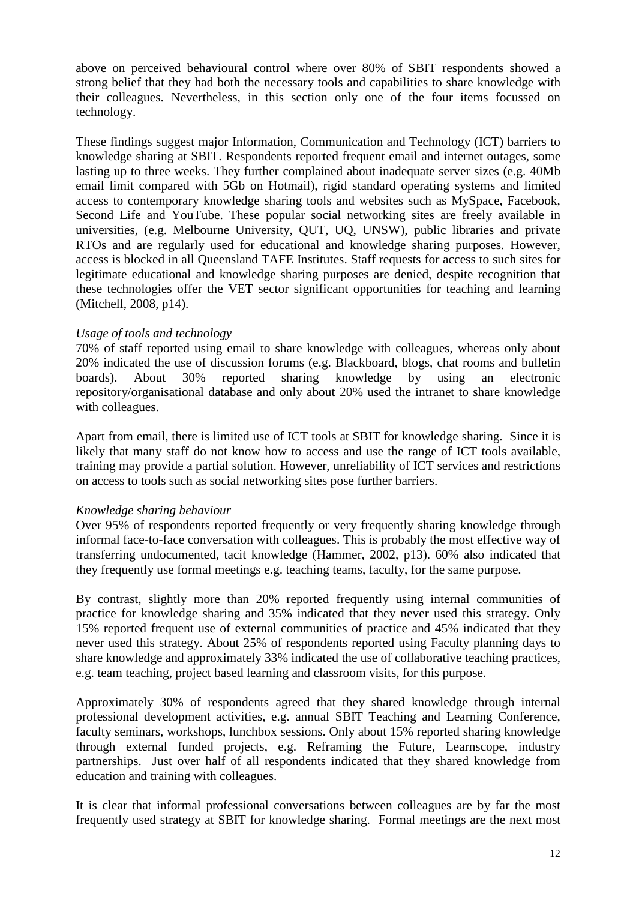above on perceived behavioural control where over 80% of SBIT respondents showed a strong belief that they had both the necessary tools and capabilities to share knowledge with their colleagues. Nevertheless, in this section only one of the four items focussed on technology.

These findings suggest major Information, Communication and Technology (ICT) barriers to knowledge sharing at SBIT. Respondents reported frequent email and internet outages, some lasting up to three weeks. They further complained about inadequate server sizes (e.g. 40Mb email limit compared with 5Gb on Hotmail), rigid standard operating systems and limited access to contemporary knowledge sharing tools and websites such as MySpace, Facebook, Second Life and YouTube. These popular social networking sites are freely available in universities, (e.g. Melbourne University, QUT, UQ, UNSW), public libraries and private RTOs and are regularly used for educational and knowledge sharing purposes. However, access is blocked in all Queensland TAFE Institutes. Staff requests for access to such sites for legitimate educational and knowledge sharing purposes are denied, despite recognition that these technologies offer the VET sector significant opportunities for teaching and learning (Mitchell, 2008, p14).

### *Usage of tools and technology*

70% of staff reported using email to share knowledge with colleagues, whereas only about 20% indicated the use of discussion forums (e.g. Blackboard, blogs, chat rooms and bulletin boards). About 30% reported sharing knowledge by using an electronic repository/organisational database and only about 20% used the intranet to share knowledge with colleagues.

Apart from email, there is limited use of ICT tools at SBIT for knowledge sharing. Since it is likely that many staff do not know how to access and use the range of ICT tools available, training may provide a partial solution. However, unreliability of ICT services and restrictions on access to tools such as social networking sites pose further barriers.

#### *Knowledge sharing behaviour*

Over 95% of respondents reported frequently or very frequently sharing knowledge through informal face-to-face conversation with colleagues. This is probably the most effective way of transferring undocumented, tacit knowledge (Hammer, 2002, p13). 60% also indicated that they frequently use formal meetings e.g. teaching teams, faculty, for the same purpose.

By contrast, slightly more than 20% reported frequently using internal communities of practice for knowledge sharing and 35% indicated that they never used this strategy. Only 15% reported frequent use of external communities of practice and 45% indicated that they never used this strategy. About 25% of respondents reported using Faculty planning days to share knowledge and approximately 33% indicated the use of collaborative teaching practices, e.g. team teaching, project based learning and classroom visits, for this purpose.

Approximately 30% of respondents agreed that they shared knowledge through internal professional development activities, e.g. annual SBIT Teaching and Learning Conference, faculty seminars, workshops, lunchbox sessions. Only about 15% reported sharing knowledge through external funded projects, e.g. Reframing the Future, Learnscope, industry partnerships. Just over half of all respondents indicated that they shared knowledge from education and training with colleagues.

It is clear that informal professional conversations between colleagues are by far the most frequently used strategy at SBIT for knowledge sharing. Formal meetings are the next most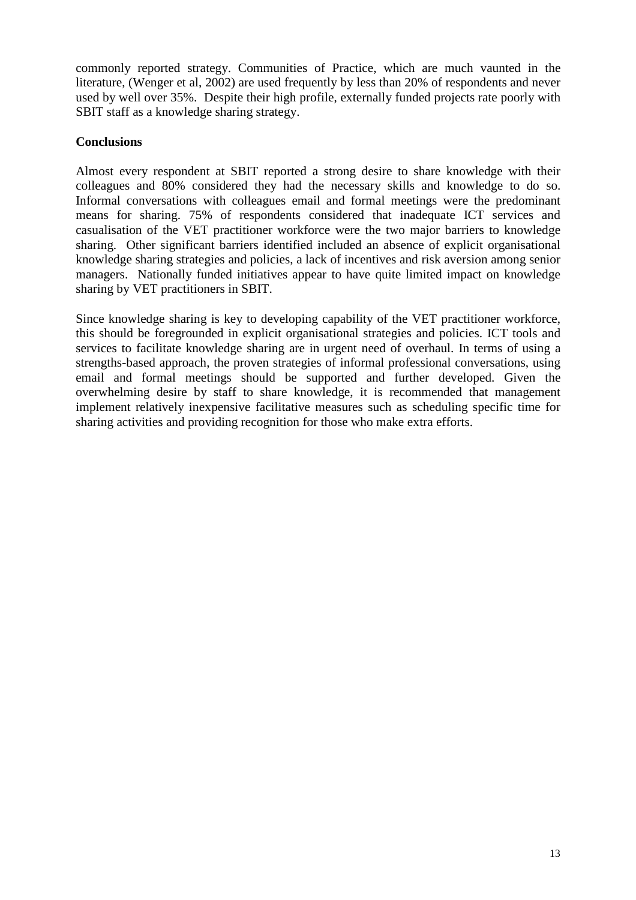commonly reported strategy. Communities of Practice, which are much vaunted in the literature, (Wenger et al, 2002) are used frequently by less than 20% of respondents and never used by well over 35%. Despite their high profile, externally funded projects rate poorly with SBIT staff as a knowledge sharing strategy.

## **Conclusions**

Almost every respondent at SBIT reported a strong desire to share knowledge with their colleagues and 80% considered they had the necessary skills and knowledge to do so. Informal conversations with colleagues email and formal meetings were the predominant means for sharing. 75% of respondents considered that inadequate ICT services and casualisation of the VET practitioner workforce were the two major barriers to knowledge sharing. Other significant barriers identified included an absence of explicit organisational knowledge sharing strategies and policies, a lack of incentives and risk aversion among senior managers. Nationally funded initiatives appear to have quite limited impact on knowledge sharing by VET practitioners in SBIT.

Since knowledge sharing is key to developing capability of the VET practitioner workforce, this should be foregrounded in explicit organisational strategies and policies. ICT tools and services to facilitate knowledge sharing are in urgent need of overhaul. In terms of using a strengths-based approach, the proven strategies of informal professional conversations, using email and formal meetings should be supported and further developed. Given the overwhelming desire by staff to share knowledge, it is recommended that management implement relatively inexpensive facilitative measures such as scheduling specific time for sharing activities and providing recognition for those who make extra efforts.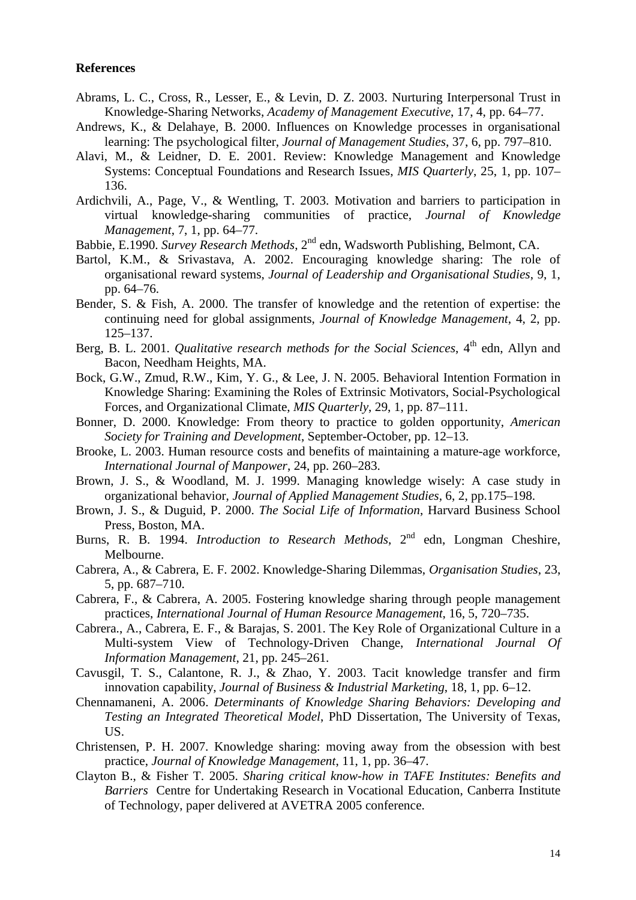#### **References**

- Abrams, L. C., Cross, R., Lesser, E., & Levin, D. Z. 2003. Nurturing Interpersonal Trust in Knowledge-Sharing Networks, *Academy of Management Executive*, 17, 4, pp. 64–77.
- Andrews, K., & Delahaye, B. 2000. Influences on Knowledge processes in organisational learning: The psychological filter, *Journal of Management Studies*, 37, 6, pp. 797–810.
- Alavi, M., & Leidner, D. E. 2001. Review: Knowledge Management and Knowledge Systems: Conceptual Foundations and Research Issues, *MIS Quarterly*, 25, 1, pp. 107– 136.
- Ardichvili, A., Page, V., & Wentling, T. 2003. Motivation and barriers to participation in virtual knowledge-sharing communities of practice, *Journal of Knowledge Management*, 7, 1, pp. 64–77.
- Babbie, E.1990. *Survey Research Methods*, 2nd edn, Wadsworth Publishing, Belmont, CA.
- Bartol, K.M., & Srivastava, A. 2002. Encouraging knowledge sharing: The role of organisational reward systems, *Journal of Leadership and Organisational Studies*, 9, 1, pp. 64–76.
- Bender, S. & Fish, A. 2000. The transfer of knowledge and the retention of expertise: the continuing need for global assignments, *Journal of Knowledge Management*, 4, 2, pp. 125–137.
- Berg, B. L. 2001. *Qualitative research methods for the Social Sciences*, 4<sup>th</sup> edn, Allyn and Bacon, Needham Heights, MA.
- Bock, G.W., Zmud, R.W., Kim, Y. G., & Lee, J. N. 2005. Behavioral Intention Formation in Knowledge Sharing: Examining the Roles of Extrinsic Motivators, Social-Psychological Forces, and Organizational Climate, *MIS Quarterly*, 29, 1, pp. 87–111.
- Bonner, D. 2000. Knowledge: From theory to practice to golden opportunity, *American Society for Training and Development*, September-October, pp. 12–13.
- Brooke, L. 2003. Human resource costs and benefits of maintaining a mature-age workforce, *International Journal of Manpower*, 24, pp. 260–283.
- Brown, J. S., & Woodland, M. J. 1999. Managing knowledge wisely: A case study in organizational behavior, *Journal of Applied Management Studies*, 6, 2, pp.175–198.
- Brown, J. S., & Duguid, P. 2000. *The Social Life of Information*, Harvard Business School Press, Boston, MA.
- Burns, R. B. 1994. *Introduction to Research Methods*, 2<sup>nd</sup> edn, Longman Cheshire, Melbourne.
- Cabrera, A., & Cabrera, E. F. 2002. Knowledge-Sharing Dilemmas, *Organisation Studies*, 23, 5, pp. 687–710.
- Cabrera, F., & Cabrera, A. 2005. Fostering knowledge sharing through people management practices, *International Journal of Human Resource Management*, 16, 5, 720–735.
- Cabrera., A., Cabrera, E. F., & Barajas, S. 2001. The Key Role of Organizational Culture in a Multi-system View of Technology-Driven Change, *International Journal Of Information Management*, 21, pp. 245–261.
- Cavusgil, T. S., Calantone, R. J., & Zhao, Y. 2003. Tacit knowledge transfer and firm innovation capability, *Journal of Business & Industrial Marketing*, 18, 1, pp. 6–12.
- Chennamaneni, A. 2006. *Determinants of Knowledge Sharing Behaviors: Developing and Testing an Integrated Theoretical Model*, PhD Dissertation, The University of Texas, US.
- Christensen, P. H. 2007. Knowledge sharing: moving away from the obsession with best practice, *Journal of Knowledge Management*, 11, 1, pp. 36–47.
- Clayton B., & Fisher T. 2005. *Sharing critical know-how in TAFE Institutes: Benefits and Barriers* Centre for Undertaking Research in Vocational Education, Canberra Institute of Technology, paper delivered at AVETRA 2005 conference.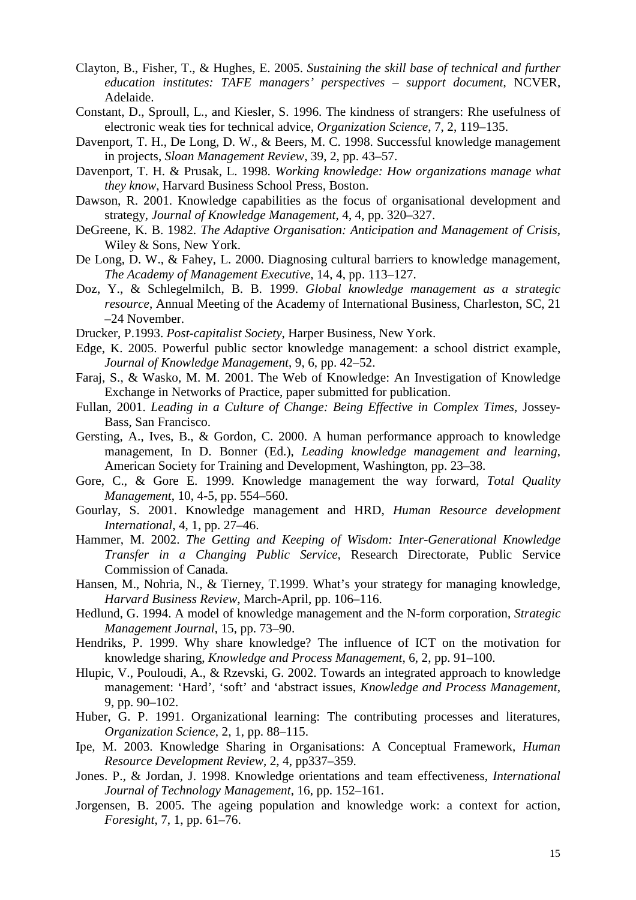- Clayton, B., Fisher, T., & Hughes, E. 2005. *Sustaining the skill base of technical and further education institutes: TAFE managers' perspectives – support document*, NCVER, Adelaide.
- Constant, D., Sproull, L., and Kiesler, S. 1996. The kindness of strangers: Rhe usefulness of electronic weak ties for technical advice, *Organization Science*, 7, 2, 119–135.
- Davenport, T. H., De Long, D. W., & Beers, M. C. 1998. Successful knowledge management in projects, *Sloan Management Review*, 39, 2, pp. 43–57.
- Davenport, T. H. & Prusak, L. 1998. *Working knowledge: How organizations manage what they know*, Harvard Business School Press, Boston.
- Dawson, R. 2001. Knowledge capabilities as the focus of organisational development and strategy, *Journal of Knowledge Management*, 4, 4, pp. 320–327.
- DeGreene, K. B. 1982. *The Adaptive Organisation: Anticipation and Management of Crisis*, Wiley & Sons, New York.
- De Long, D. W., & Fahey, L. 2000. Diagnosing cultural barriers to knowledge management, *The Academy of Management Executive*, 14, 4, pp. 113–127.
- Doz, Y., & Schlegelmilch, B. B. 1999. *Global knowledge management as a strategic resource*, Annual Meeting of the Academy of International Business, Charleston, SC, 21 –24 November.
- Drucker, P.1993. *Post-capitalist Society*, Harper Business, New York.
- Edge, K. 2005. Powerful public sector knowledge management: a school district example, *Journal of Knowledge Management*, 9, 6, pp. 42–52.
- Faraj, S., & Wasko, M. M. 2001. The Web of Knowledge: An Investigation of Knowledge Exchange in Networks of Practice, paper submitted for publication.
- Fullan, 2001. *Leading in a Culture of Change: Being Effective in Complex Times*, Jossey-Bass, San Francisco.
- Gersting, A., Ives, B., & Gordon, C. 2000. A human performance approach to knowledge management, In D. Bonner (Ed.), *Leading knowledge management and learning*, American Society for Training and Development, Washington, pp. 23–38.
- Gore, C., & Gore E. 1999. Knowledge management the way forward, *Total Quality Management*, 10, 4-5, pp. 554–560.
- Gourlay, S. 2001. Knowledge management and HRD, *Human Resource development International*, 4, 1, pp. 27–46.
- Hammer, M. 2002. *The Getting and Keeping of Wisdom: Inter-Generational Knowledge Transfer in a Changing Public Service*, Research Directorate, Public Service Commission of Canada.
- Hansen, M., Nohria, N., & Tierney, T.1999. What's your strategy for managing knowledge, *Harvard Business Review*, March-April, pp. 106–116.
- Hedlund, G. 1994. A model of knowledge management and the N-form corporation, *Strategic Management Journal*, 15, pp. 73–90.
- Hendriks, P. 1999. Why share knowledge? The influence of ICT on the motivation for knowledge sharing, *Knowledge and Process Management*, 6, 2, pp. 91–100.
- Hlupic, V., Pouloudi, A., & Rzevski, G. 2002. Towards an integrated approach to knowledge management: 'Hard', 'soft' and 'abstract issues, *Knowledge and Process Management*, 9, pp. 90–102.
- Huber, G. P. 1991. Organizational learning: The contributing processes and literatures, *Organization Science*, 2, 1, pp. 88–115.
- Ipe, M. 2003. Knowledge Sharing in Organisations: A Conceptual Framework, *Human Resource Development Review*, 2, 4, pp337–359.
- Jones. P., & Jordan, J. 1998. Knowledge orientations and team effectiveness, *International Journal of Technology Management*, 16, pp. 152–161.
- Jorgensen, B. 2005. The ageing population and knowledge work: a context for action, *Foresight*, 7, 1, pp. 61–76.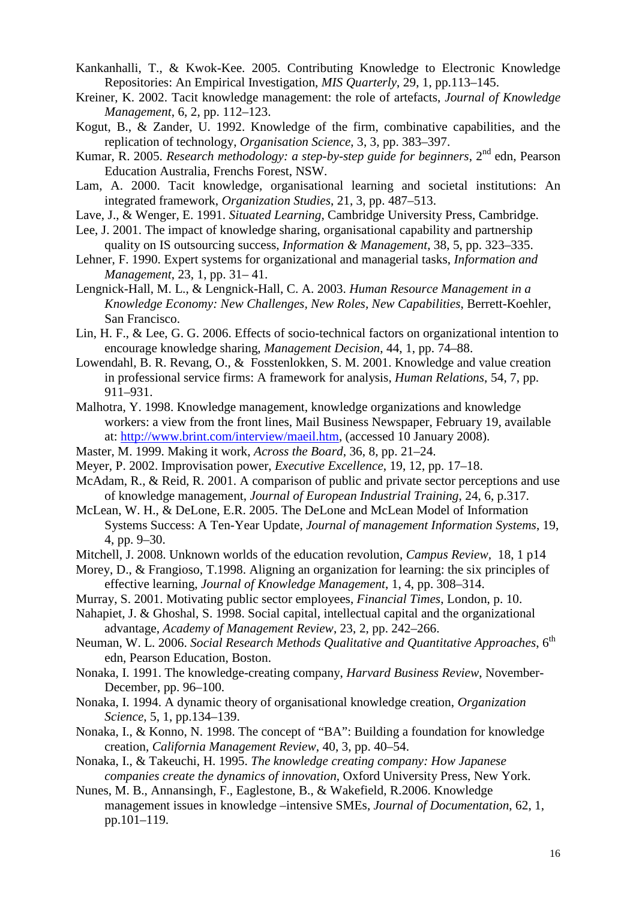- Kankanhalli, T., & Kwok-Kee. 2005. Contributing Knowledge to Electronic Knowledge Repositories: An Empirical Investigation, *MIS Quarterly*, 29, 1, pp.113–145.
- Kreiner, K. 2002. Tacit knowledge management: the role of artefacts, *Journal of Knowledge Management*, 6, 2, pp. 112–123.
- Kogut, B., & Zander, U. 1992. Knowledge of the firm, combinative capabilities, and the replication of technology, *Organisation Science*, 3, 3, pp. 383–397.
- Kumar, R. 2005. *Research methodology: a step-by-step guide for beginners*, 2<sup>nd</sup> edn, Pearson Education Australia, Frenchs Forest, NSW.
- Lam, A. 2000. Tacit knowledge, organisational learning and societal institutions: An integrated framework, *Organization Studies*, 21, 3, pp. 487–513.
- Lave, J., & Wenger, E. 1991. *Situated Learning*, Cambridge University Press, Cambridge.
- Lee, J. 2001. The impact of knowledge sharing, organisational capability and partnership quality on IS outsourcing success, *Information & Management*, 38, 5, pp. 323–335.
- Lehner, F. 1990. Expert systems for organizational and managerial tasks, *Information and Management*, 23, 1, pp. 31– 41.
- Lengnick-Hall, M. L., & Lengnick-Hall, C. A. 2003. *Human Resource Management in a Knowledge Economy: New Challenges, New Roles, New Capabilities*, Berrett-Koehler, San Francisco.
- Lin, H. F., & Lee, G. G. 2006. Effects of socio-technical factors on organizational intention to encourage knowledge sharing, *Management Decision*, 44, 1, pp. 74–88.
- Lowendahl, B. R. Revang, O., & Fosstenlokken, S. M. 2001. Knowledge and value creation in professional service firms: A framework for analysis, *Human Relations*, 54, 7, pp. 911–931.
- Malhotra, Y. 1998. Knowledge management, knowledge organizations and knowledge workers: a view from the front lines, Mail Business Newspaper, February 19, available at: http://www.brint.com/interview/maeil.htm, (accessed 10 January 2008).
- Master, M. 1999. Making it work, *Across the Board*, 36, 8, pp. 21–24.
- Meyer, P. 2002. Improvisation power, *Executive Excellence*, 19, 12, pp. 17–18.
- McAdam, R., & Reid, R. 2001. A comparison of public and private sector perceptions and use of knowledge management, *Journal of European Industrial Training*, 24, 6, p.317.
- McLean, W. H., & DeLone, E.R. 2005. The DeLone and McLean Model of Information Systems Success: A Ten-Year Update, *Journal of management Information Systems*, 19, 4, pp. 9–30.
- Mitchell, J. 2008. Unknown worlds of the education revolution, *Campus Review,* 18, 1 p14
- Morey, D., & Frangioso, T.1998. Aligning an organization for learning: the six principles of effective learning, *Journal of Knowledge Management*, 1, 4, pp. 308–314.
- Murray, S. 2001. Motivating public sector employees, *Financial Times*, London, p. 10.
- Nahapiet, J. & Ghoshal, S. 1998. Social capital, intellectual capital and the organizational advantage, *Academy of Management Review*, 23, 2, pp. 242–266.
- Neuman, W. L. 2006. *Social Research Methods Qualitative and Quantitative Approaches*, 6<sup>th</sup> edn, Pearson Education, Boston.
- Nonaka, I. 1991. The knowledge-creating company, *Harvard Business Review*, November-December, pp. 96–100.
- Nonaka, I. 1994. A dynamic theory of organisational knowledge creation, *Organization Science*, 5, 1, pp.134–139.
- Nonaka, I., & Konno, N. 1998. The concept of "BA": Building a foundation for knowledge creation, *California Management Review*, 40, 3, pp. 40–54.
- Nonaka, I., & Takeuchi, H. 1995. *The knowledge creating company: How Japanese companies create the dynamics of innovation*, Oxford University Press, New York.
- Nunes, M. B., Annansingh, F., Eaglestone, B., & Wakefield, R.2006. Knowledge management issues in knowledge –intensive SMEs, *Journal of Documentation*, 62, 1, pp.101–119.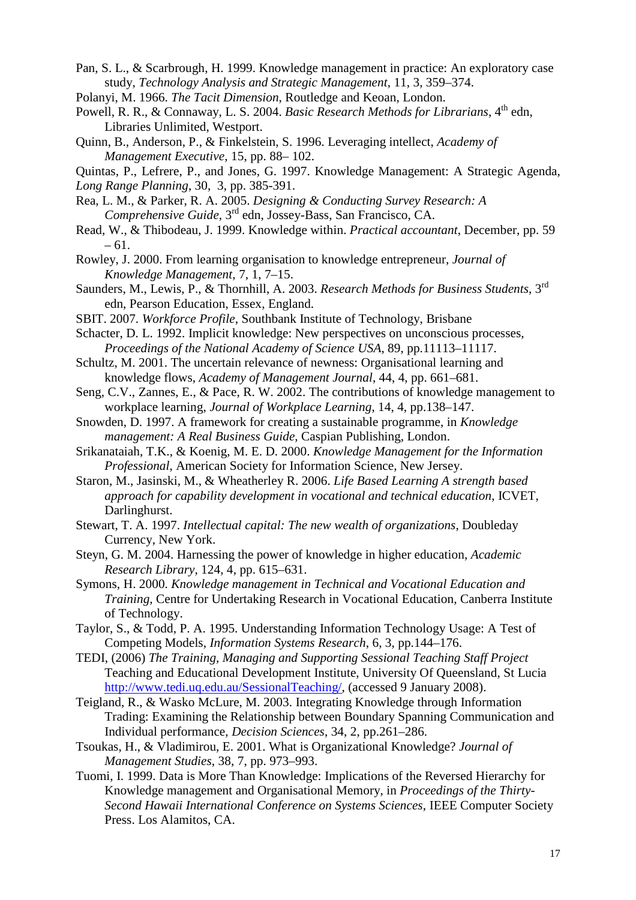- Pan, S. L., & Scarbrough, H. 1999. Knowledge management in practice: An exploratory case study, *Technology Analysis and Strategic Management*, 11, 3, 359–374.
- Polanyi, M. 1966. *The Tacit Dimension*, Routledge and Keoan, London.
- Powell, R. R., & Connaway, L. S. 2004. *Basic Research Methods for Librarians*, 4<sup>th</sup> edn, Libraries Unlimited, Westport.
- Quinn, B., Anderson, P., & Finkelstein, S. 1996. Leveraging intellect, *Academy of Management Executive*, 15, pp. 88– 102.

Quintas, P., Lefrere, P., and Jones, G. 1997. Knowledge Management: A Strategic Agenda,

*Long Range Planning*, 30, 3, pp. 385-391.

- Rea, L. M., & Parker, R. A. 2005. *Designing & Conducting Survey Research: A Comprehensive Guide*, 3rd edn, Jossey-Bass, San Francisco, CA.
- Read, W., & Thibodeau, J. 1999. Knowledge within. *Practical accountant*, December, pp. 59 – 61.
- Rowley, J. 2000. From learning organisation to knowledge entrepreneur, *Journal of Knowledge Management*, 7, 1, 7–15.
- Saunders, M., Lewis, P., & Thornhill, A. 2003. *Research Methods for Business Students*, 3rd edn, Pearson Education, Essex, England.
- SBIT. 2007. *Workforce Profile*, Southbank Institute of Technology, Brisbane
- Schacter, D. L. 1992. Implicit knowledge: New perspectives on unconscious processes, *Proceedings of the National Academy of Science USA*, 89, pp.11113–11117.
- Schultz, M. 2001. The uncertain relevance of newness: Organisational learning and knowledge flows, *Academy of Management Journal*, 44, 4, pp. 661–681.
- Seng, C.V., Zannes, E., & Pace, R. W. 2002. The contributions of knowledge management to workplace learning, *Journal of Workplace Learning*, 14, 4, pp.138–147.
- Snowden, D. 1997. A framework for creating a sustainable programme, in *Knowledge management: A Real Business Guide*, Caspian Publishing, London.
- Srikanataiah, T.K., & Koenig, M. E. D. 2000. *Knowledge Management for the Information Professional*, American Society for Information Science, New Jersey.
- Staron, M., Jasinski, M., & Wheatherley R. 2006. *Life Based Learning A strength based approach for capability development in vocational and technical education*, ICVET, Darlinghurst.
- Stewart, T. A. 1997. *Intellectual capital: The new wealth of organizations*, Doubleday Currency, New York.
- Steyn, G. M. 2004. Harnessing the power of knowledge in higher education, *Academic Research Library*, 124, 4, pp. 615–631.
- Symons, H. 2000. *Knowledge management in Technical and Vocational Education and Training,* Centre for Undertaking Research in Vocational Education, Canberra Institute of Technology.
- Taylor, S., & Todd, P. A. 1995. Understanding Information Technology Usage: A Test of Competing Models, *Information Systems Research*, 6, 3, pp.144–176.
- TEDI, (2006) *The Training, Managing and Supporting Sessional Teaching Staff Project* Teaching and Educational Development Institute, University Of Queensland, St Lucia http://www.tedi.uq.edu.au/SessionalTeaching/, (accessed 9 January 2008).
- Teigland, R., & Wasko McLure, M. 2003. Integrating Knowledge through Information Trading: Examining the Relationship between Boundary Spanning Communication and Individual performance, *Decision Sciences*, 34, 2, pp.261–286.
- Tsoukas, H., & Vladimirou, E. 2001. What is Organizational Knowledge? *Journal of Management Studies*, 38, 7, pp. 973–993.
- Tuomi, I. 1999. Data is More Than Knowledge: Implications of the Reversed Hierarchy for Knowledge management and Organisational Memory, in *Proceedings of the Thirty-Second Hawaii International Conference on Systems Sciences*, IEEE Computer Society Press. Los Alamitos, CA.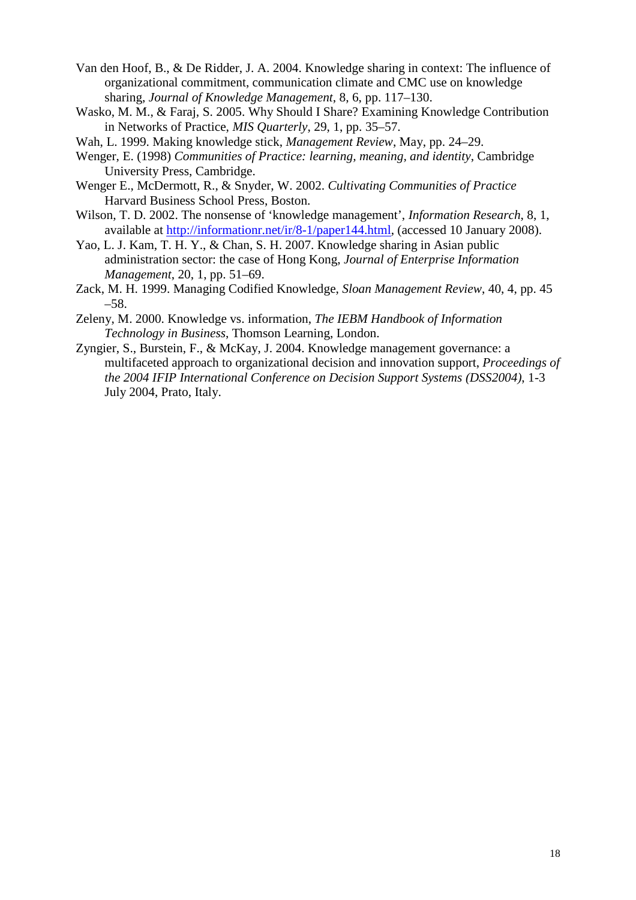- Van den Hoof, B., & De Ridder, J. A. 2004. Knowledge sharing in context: The influence of organizational commitment, communication climate and CMC use on knowledge sharing, *Journal of Knowledge Management*, 8, 6, pp. 117–130.
- Wasko, M. M., & Faraj, S. 2005. Why Should I Share? Examining Knowledge Contribution in Networks of Practice, *MIS Quarterly*, 29, 1, pp. 35–57.
- Wah, L. 1999. Making knowledge stick, *Management Review*, May, pp. 24–29.
- Wenger, E. (1998) *Communities of Practice: learning, meaning, and identity*, Cambridge University Press, Cambridge.
- Wenger E., McDermott, R., & Snyder, W. 2002. *Cultivating Communities of Practice*  Harvard Business School Press, Boston.
- Wilson, T. D. 2002. The nonsense of 'knowledge management', *Information Research*, 8, 1, available at http://informationr.net/ir/8-1/paper144.html, (accessed 10 January 2008).
- Yao, L. J. Kam, T. H. Y., & Chan, S. H. 2007. Knowledge sharing in Asian public administration sector: the case of Hong Kong, *Journal of Enterprise Information Management*, 20, 1, pp. 51–69.
- Zack, M. H. 1999. Managing Codified Knowledge, *Sloan Management Review*, 40, 4, pp. 45 –58.
- Zeleny, M. 2000. Knowledge vs. information, *The IEBM Handbook of Information Technology in Business*, Thomson Learning, London.
- Zyngier, S., Burstein, F., & McKay, J. 2004. Knowledge management governance: a multifaceted approach to organizational decision and innovation support, *Proceedings of the 2004 IFIP International Conference on Decision Support Systems (DSS2004)*, 1-3 July 2004, Prato, Italy.